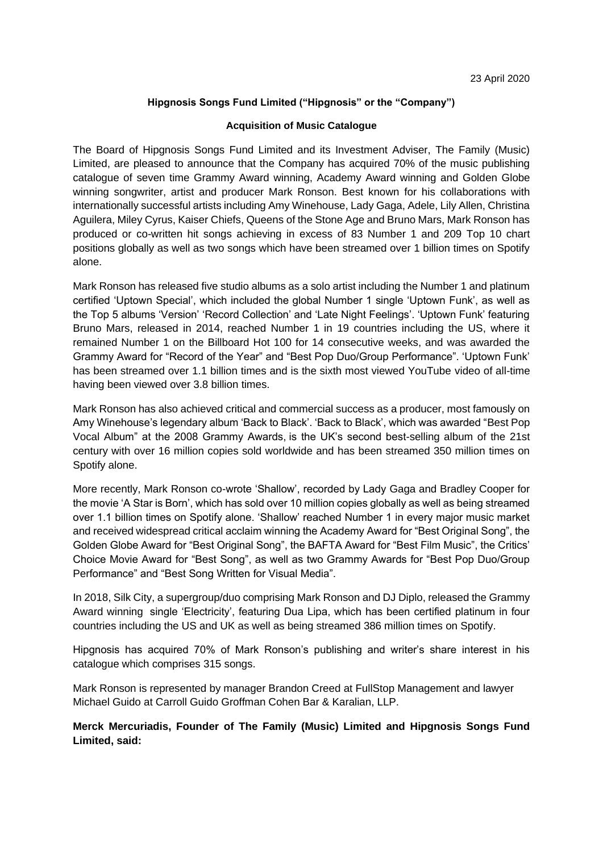## **Hipgnosis Songs Fund Limited ("Hipgnosis" or the "Company")**

#### **Acquisition of Music Catalogue**

The Board of Hipgnosis Songs Fund Limited and its Investment Adviser, The Family (Music) Limited, are pleased to announce that the Company has acquired 70% of the music publishing catalogue of seven time Grammy Award winning, Academy Award winning and Golden Globe winning songwriter, artist and producer Mark Ronson. Best known for his collaborations with internationally successful artists including Amy Winehouse, Lady Gaga, Adele, Lily Allen, Christina Aguilera, Miley Cyrus, Kaiser Chiefs, Queens of the Stone Age and Bruno Mars, Mark Ronson has produced or co-written hit songs achieving in excess of 83 Number 1 and 209 Top 10 chart positions globally as well as two songs which have been streamed over 1 billion times on Spotify alone.

Mark Ronson has released five studio albums as a solo artist including the Number 1 and platinum certified 'Uptown Special', which included the global Number 1 single 'Uptown Funk', as well as the Top 5 albums 'Version' 'Record Collection' and 'Late Night Feelings'. 'Uptown Funk' featuring Bruno Mars, released in 2014, reached Number 1 in 19 countries including the US, where it remained Number 1 on the Billboard Hot 100 for 14 consecutive weeks, and was awarded the Grammy Award for "Record of the Year" and "Best Pop Duo/Group Performance". 'Uptown Funk' has been streamed over 1.1 billion times and is the sixth most viewed YouTube video of all-time having been viewed over 3.8 billion times.

Mark Ronson has also achieved critical and commercial success as a producer, most famously on Amy Winehouse's legendary album 'Back to Black'. 'Back to Black', which was awarded "Best Pop Vocal Album" at the 2008 Grammy Awards, is the UK's second best-selling album of the 21st century with over 16 million copies sold worldwide and has been streamed 350 million times on Spotify alone.

More recently, Mark Ronson co-wrote 'Shallow', recorded by Lady Gaga and Bradley Cooper for the movie 'A Star is Born', which has sold over 10 million copies globally as well as being streamed over 1.1 billion times on Spotify alone. 'Shallow' reached Number 1 in every major music market and received widespread critical acclaim winning the Academy Award for "Best Original Song", the Golden Globe Award for "Best Original Song", the BAFTA Award for "Best Film Music", the Critics' Choice Movie Award for "Best Song", as well as two Grammy Awards for "Best Pop Duo/Group Performance" and "Best Song Written for Visual Media".

In 2018, Silk City, a supergroup/duo comprising Mark Ronson and DJ Diplo, released the Grammy Award winning single 'Electricity', featuring Dua Lipa, which has been certified platinum in four countries including the US and UK as well as being streamed 386 million times on Spotify.

Hipgnosis has acquired 70% of Mark Ronson's publishing and writer's share interest in his catalogue which comprises 315 songs.

Mark Ronson is represented by manager Brandon Creed at FullStop Management and lawyer Michael Guido at Carroll Guido Groffman Cohen Bar & Karalian, LLP.

**Merck Mercuriadis, Founder of The Family (Music) Limited and Hipgnosis Songs Fund Limited, said:**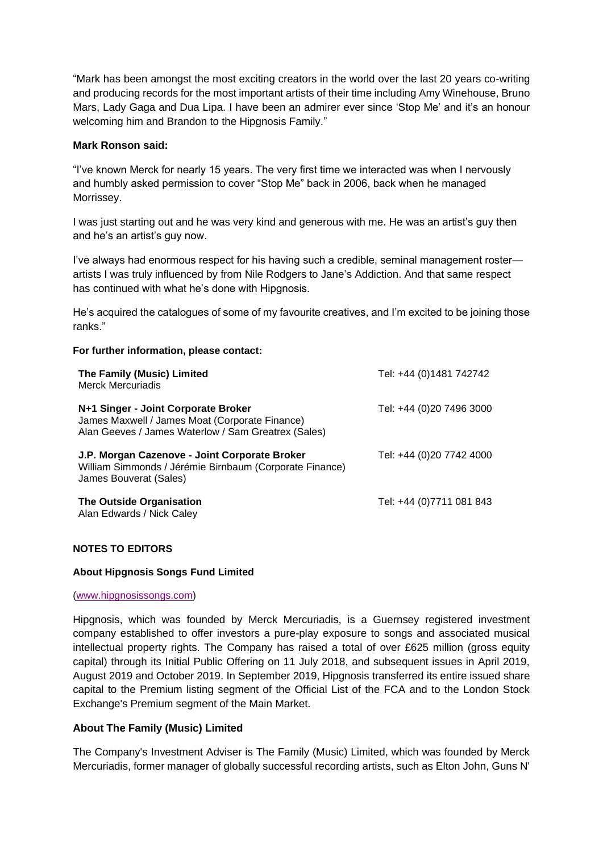"Mark has been amongst the most exciting creators in the world over the last 20 years co-writing and producing records for the most important artists of their time including Amy Winehouse, Bruno Mars, Lady Gaga and Dua Lipa. I have been an admirer ever since 'Stop Me' and it's an honour welcoming him and Brandon to the Hipgnosis Family."

## **Mark Ronson said:**

"I've known Merck for nearly 15 years. The very first time we interacted was when I nervously and humbly asked permission to cover "Stop Me" back in 2006, back when he managed Morrissey.

I was just starting out and he was very kind and generous with me. He was an artist's guy then and he's an artist's guy now.

I've always had enormous respect for his having such a credible, seminal management roster artists I was truly influenced by from Nile Rodgers to Jane's Addiction. And that same respect has continued with what he's done with Hipgnosis.

He's acquired the catalogues of some of my favourite creatives, and I'm excited to be joining those ranks."

# **For further information, please contact:**

| <b>The Family (Music) Limited</b><br>Merck Mercuriadis                                                                                       | Tel: +44 (0)1481 742742  |
|----------------------------------------------------------------------------------------------------------------------------------------------|--------------------------|
| N+1 Singer - Joint Corporate Broker<br>James Maxwell / James Moat (Corporate Finance)<br>Alan Geeves / James Waterlow / Sam Greatrex (Sales) | Tel: +44 (0)20 7496 3000 |
| J.P. Morgan Cazenove - Joint Corporate Broker<br>William Simmonds / Jérémie Birnbaum (Corporate Finance)<br>James Bouverat (Sales)           | Tel: +44 (0)20 7742 4000 |
| The Outside Organisation<br>Alan Edwards / Nick Caley                                                                                        | Tel: +44 (0)7711 081 843 |

## **NOTES TO EDITORS**

#### **About Hipgnosis Songs Fund Limited**

#### [\(www.hipgnosissongs.com\)](http://www.hipgnosissongs.com/)

Hipgnosis, which was founded by Merck Mercuriadis, is a Guernsey registered investment company established to offer investors a pure-play exposure to songs and associated musical intellectual property rights. The Company has raised a total of over £625 million (gross equity capital) through its Initial Public Offering on 11 July 2018, and subsequent issues in April 2019, August 2019 and October 2019. In September 2019, Hipgnosis transferred its entire issued share capital to the Premium listing segment of the Official List of the FCA and to the London Stock Exchange's Premium segment of the Main Market.

## **About The Family (Music) Limited**

The Company's Investment Adviser is The Family (Music) Limited, which was founded by Merck Mercuriadis, former manager of globally successful recording artists, such as Elton John, Guns N'